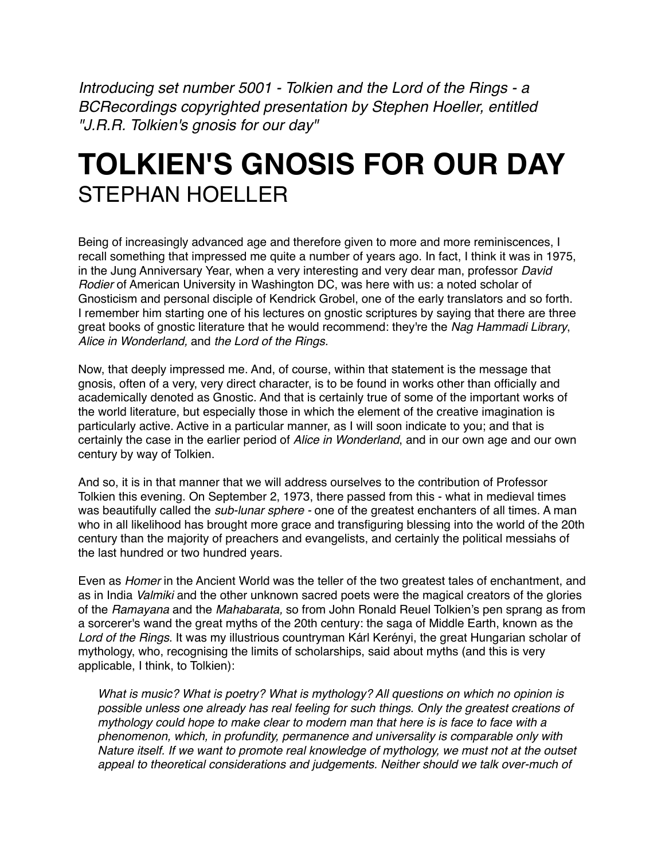*Introducing set number 5001 - Tolkien and the Lord of the Rings - a BCRecordings copyrighted presentation by Stephen Hoeller, entitled "J.R.R. Tolkien's gnosis for our day"*

## **TOLKIEN'S GNOSIS FOR OUR DAY** STEPHAN HOELLER

Being of increasingly advanced age and therefore given to more and more reminiscences, I recall something that impressed me quite a number of years ago. In fact, I think it was in 1975, in the Jung Anniversary Year, when a very interesting and very dear man, professor *David Rodier* of American University in Washington DC, was here with us: a noted scholar of Gnosticism and personal disciple of Kendrick Grobel, one of the early translators and so forth. I remember him starting one of his lectures on gnostic scriptures by saying that there are three great books of gnostic literature that he would recommend: they're the *Nag Hammadi Library*, *Alice in Wonderland,* and *the Lord of the Rings.*

Now, that deeply impressed me. And, of course, within that statement is the message that gnosis, often of a very, very direct character, is to be found in works other than officially and academically denoted as Gnostic. And that is certainly true of some of the important works of the world literature, but especially those in which the element of the creative imagination is particularly active. Active in a particular manner, as I will soon indicate to you; and that is certainly the case in the earlier period of *Alice in Wonderland*, and in our own age and our own century by way of Tolkien.

And so, it is in that manner that we will address ourselves to the contribution of Professor Tolkien this evening. On September 2, 1973, there passed from this - what in medieval times was beautifully called the *sub-lunar sphere -* one of the greatest enchanters of all times. A man who in all likelihood has brought more grace and transfiguring blessing into the world of the 20th century than the majority of preachers and evangelists, and certainly the political messiahs of the last hundred or two hundred years.

Even as *Homer* in the Ancient World was the teller of the two greatest tales of enchantment, and as in India *Valmiki* and the other unknown sacred poets were the magical creators of the glories of the *Ramayana* and the *Mahabarata,* so from John Ronald Reuel Tolkien's pen sprang as from a sorcerer's wand the great myths of the 20th century: the saga of Middle Earth, known as the *Lord of the Rings*. It was my illustrious countryman Kárl Kerényi, the great Hungarian scholar of mythology, who, recognising the limits of scholarships, said about myths (and this is very applicable, I think, to Tolkien):

*What is music? What is poetry? What is mythology? All questions on which no opinion is possible unless one already has real feeling for such things. Only the greatest creations of mythology could hope to make clear to modern man that here is is face to face with a phenomenon, which, in profundity, permanence and universality is comparable only with Nature itself. If we want to promote real knowledge of mythology, we must not at the outset appeal to theoretical considerations and judgements. Neither should we talk over-much of*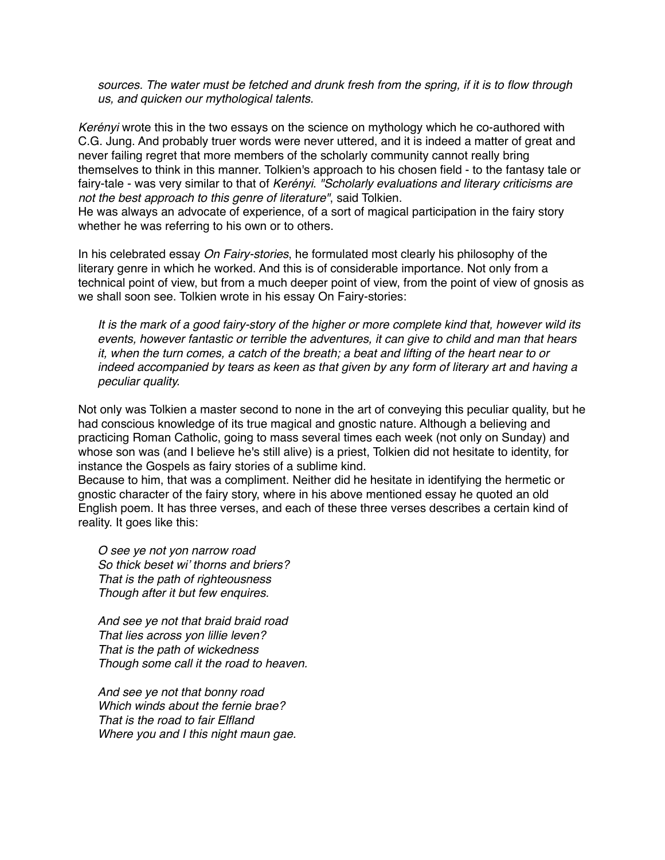*sources. The water must be fetched and drunk fresh from the spring, if it is to flow through us, and quicken our mythological talents.*

*Kerényi* wrote this in the two essays on the science on mythology which he co-authored with C.G. Jung. And probably truer words were never uttered, and it is indeed a matter of great and never failing regret that more members of the scholarly community cannot really bring themselves to think in this manner. Tolkien's approach to his chosen field - to the fantasy tale or fairy-tale - was very similar to that of *Kerényi*. *"Scholarly evaluations and literary criticisms are not the best approach to this genre of literature"*, said Tolkien.

He was always an advocate of experience, of a sort of magical participation in the fairy story whether he was referring to his own or to others.

In his celebrated essay *On Fairy-stories*, he formulated most clearly his philosophy of the literary genre in which he worked. And this is of considerable importance. Not only from a technical point of view, but from a much deeper point of view, from the point of view of gnosis as we shall soon see. Tolkien wrote in his essay On Fairy-stories:

*It is the mark of a good fairy-story of the higher or more complete kind that, however wild its events, however fantastic or terrible the adventures, it can give to child and man that hears it, when the turn comes, a catch of the breath; a beat and lifting of the heart near to or indeed accompanied by tears as keen as that given by any form of literary art and having a peculiar quality.*

Not only was Tolkien a master second to none in the art of conveying this peculiar quality, but he had conscious knowledge of its true magical and gnostic nature. Although a believing and practicing Roman Catholic, going to mass several times each week (not only on Sunday) and whose son was (and I believe he's still alive) is a priest, Tolkien did not hesitate to identity, for instance the Gospels as fairy stories of a sublime kind.

Because to him, that was a compliment. Neither did he hesitate in identifying the hermetic or gnostic character of the fairy story, where in his above mentioned essay he quoted an old English poem. It has three verses, and each of these three verses describes a certain kind of reality. It goes like this:

*O see ye not yon narrow road So thick beset wi' thorns and briers? That is the path of righteousness Though after it but few enquires.*

*And see ye not that braid braid road That lies across yon lillie leven? That is the path of wickedness Though some call it the road to heaven.*

*And see ye not that bonny road Which winds about the fernie brae? That is the road to fair Elfland Where you and I this night maun gae.*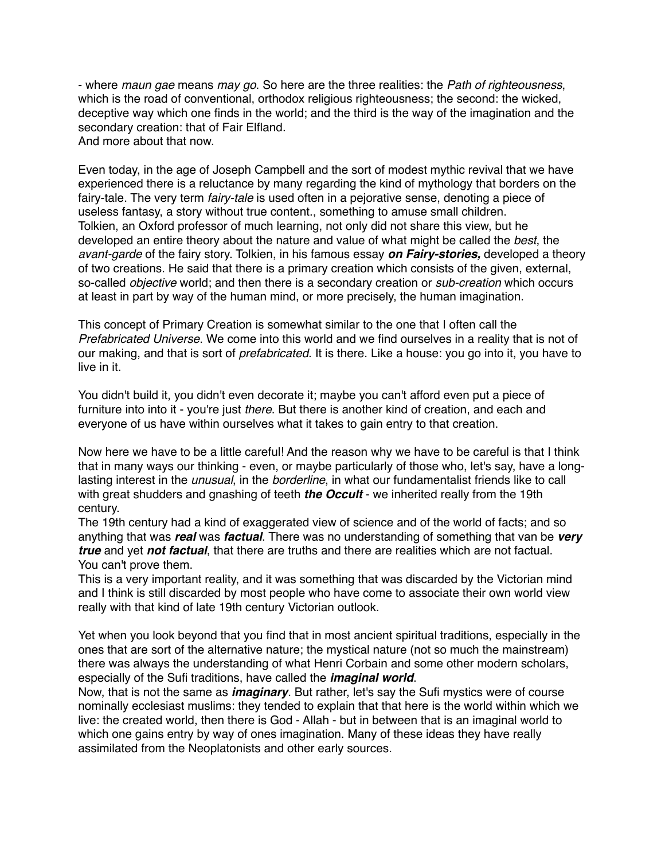- where *maun gae* means *may go*. So here are the three realities: the *Path of righteousness*, which is the road of conventional, orthodox religious righteousness; the second: the wicked, deceptive way which one finds in the world; and the third is the way of the imagination and the secondary creation: that of Fair Elfland. And more about that now.

Even today, in the age of Joseph Campbell and the sort of modest mythic revival that we have experienced there is a reluctance by many regarding the kind of mythology that borders on the fairy-tale. The very term *fairy-tale* is used often in a pejorative sense, denoting a piece of useless fantasy, a story without true content., something to amuse small children. Tolkien, an Oxford professor of much learning, not only did not share this view, but he developed an entire theory about the nature and value of what might be called the *best*, the *avant-garde* of the fairy story. Tolkien, in his famous essay *on Fairy-stories,* developed a theory of two creations. He said that there is a primary creation which consists of the given, external, so-called *objective* world; and then there is a secondary creation or *sub-creation* which occurs at least in part by way of the human mind, or more precisely, the human imagination.

This concept of Primary Creation is somewhat similar to the one that I often call the *Prefabricated Universe*. We come into this world and we find ourselves in a reality that is not of our making, and that is sort of *prefabricated*. It is there. Like a house: you go into it, you have to live in it.

You didn't build it, you didn't even decorate it; maybe you can't afford even put a piece of furniture into into it - you're just *there*. But there is another kind of creation, and each and everyone of us have within ourselves what it takes to gain entry to that creation.

Now here we have to be a little careful! And the reason why we have to be careful is that I think that in many ways our thinking - even, or maybe particularly of those who, let's say, have a longlasting interest in the *unusual*, in the *borderline*, in what our fundamentalist friends like to call with great shudders and gnashing of teeth *the Occult* - we inherited really from the 19th century.

The 19th century had a kind of exaggerated view of science and of the world of facts; and so anything that was *real* was *factual*. There was no understanding of something that van be *very true* and yet *not factual*, that there are truths and there are realities which are not factual. You can't prove them.

This is a very important reality, and it was something that was discarded by the Victorian mind and I think is still discarded by most people who have come to associate their own world view really with that kind of late 19th century Victorian outlook.

Yet when you look beyond that you find that in most ancient spiritual traditions, especially in the ones that are sort of the alternative nature; the mystical nature (not so much the mainstream) there was always the understanding of what Henri Corbain and some other modern scholars, especially of the Sufi traditions, have called the *imaginal world*.

Now, that is not the same as *imaginary*. But rather, let's say the Sufi mystics were of course nominally ecclesiast muslims: they tended to explain that that here is the world within which we live: the created world, then there is God - Allah - but in between that is an imaginal world to which one gains entry by way of ones imagination. Many of these ideas they have really assimilated from the Neoplatonists and other early sources.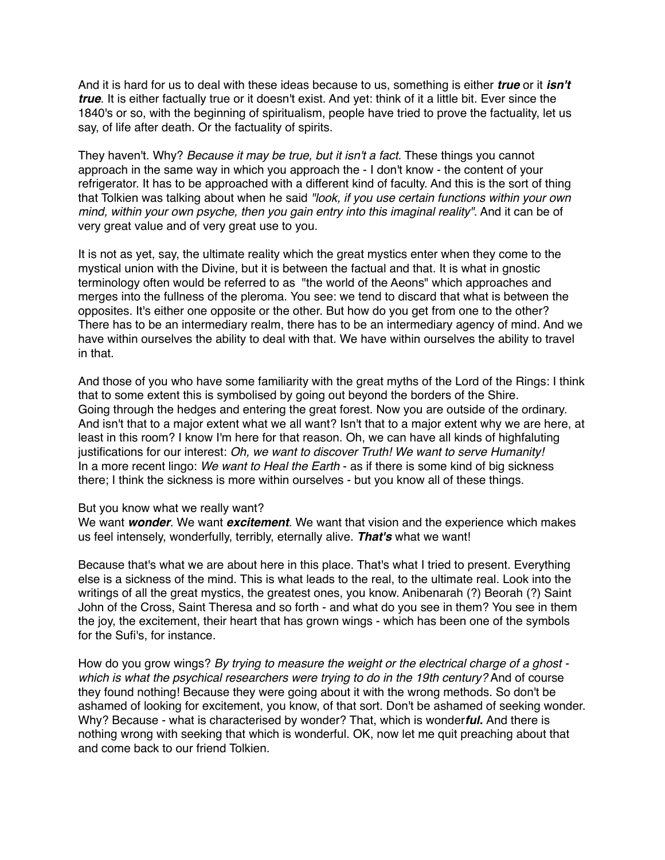And it is hard for us to deal with these ideas because to us, something is either *true* or it *isn't true*. It is either factually true or it doesn't exist. And yet: think of it a little bit. Ever since the 1840's or so, with the beginning of spiritualism, people have tried to prove the factuality, let us say, of life after death. Or the factuality of spirits.

They haven't. Why? *Because it may be true, but it isn't a fact.* These things you cannot approach in the same way in which you approach the - I don't know - the content of your refrigerator. It has to be approached with a different kind of faculty. And this is the sort of thing that Tolkien was talking about when he said *"look, if you use certain functions within your own mind, within your own psyche, then you gain entry into this imaginal reality"*. And it can be of very great value and of very great use to you.

It is not as yet, say, the ultimate reality which the great mystics enter when they come to the mystical union with the Divine, but it is between the factual and that. It is what in gnostic terminology often would be referred to as "the world of the Aeons" which approaches and merges into the fullness of the pleroma. You see: we tend to discard that what is between the opposites. It's either one opposite or the other. But how do you get from one to the other? There has to be an intermediary realm, there has to be an intermediary agency of mind. And we have within ourselves the ability to deal with that. We have within ourselves the ability to travel in that.

And those of you who have some familiarity with the great myths of the Lord of the Rings: I think that to some extent this is symbolised by going out beyond the borders of the Shire. Going through the hedges and entering the great forest. Now you are outside of the ordinary. And isn't that to a major extent what we all want? Isn't that to a major extent why we are here, at least in this room? I know I'm here for that reason. Oh, we can have all kinds of highfaluting justifications for our interest: *Oh, we want to discover Truth! We want to serve Humanity!*  In a more recent lingo: *We want to Heal the Earth* - as if there is some kind of big sickness there; I think the sickness is more within ourselves - but you know all of these things.

## But you know what we really want?

We want *wonder*. We want *excitement*. We want that vision and the experience which makes us feel intensely, wonderfully, terribly, eternally alive. *That's* what we want!

Because that's what we are about here in this place. That's what I tried to present. Everything else is a sickness of the mind. This is what leads to the real, to the ultimate real. Look into the writings of all the great mystics, the greatest ones, you know. Anibenarah (?) Beorah (?) Saint John of the Cross, Saint Theresa and so forth - and what do you see in them? You see in them the joy, the excitement, their heart that has grown wings - which has been one of the symbols for the Sufi's, for instance.

How do you grow wings? *By trying to measure the weight or the electrical charge of a ghost which is what the psychical researchers were trying to do in the 19th century?* And of course they found nothing! Because they were going about it with the wrong methods. So don't be ashamed of looking for excitement, you know, of that sort. Don't be ashamed of seeking wonder. Why? Because - what is characterised by wonder? That, which is wonder*ful.* And there is nothing wrong with seeking that which is wonderful. OK, now let me quit preaching about that and come back to our friend Tolkien.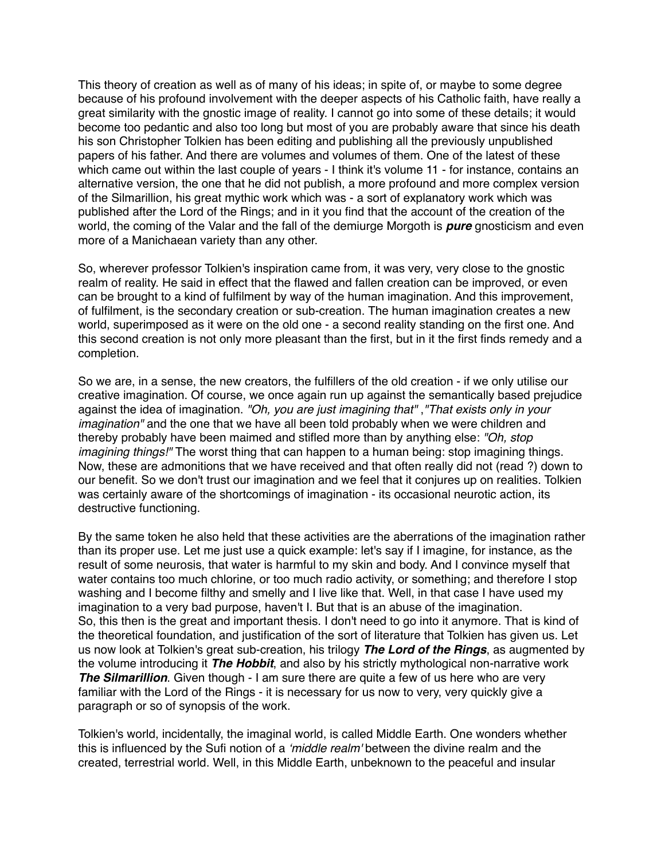This theory of creation as well as of many of his ideas; in spite of, or maybe to some degree because of his profound involvement with the deeper aspects of his Catholic faith, have really a great similarity with the gnostic image of reality. I cannot go into some of these details; it would become too pedantic and also too long but most of you are probably aware that since his death his son Christopher Tolkien has been editing and publishing all the previously unpublished papers of his father. And there are volumes and volumes of them. One of the latest of these which came out within the last couple of years - I think it's volume 11 - for instance, contains an alternative version, the one that he did not publish, a more profound and more complex version of the Silmarillion, his great mythic work which was - a sort of explanatory work which was published after the Lord of the Rings; and in it you find that the account of the creation of the world, the coming of the Valar and the fall of the demiurge Morgoth is *pure* gnosticism and even more of a Manichaean variety than any other.

So, wherever professor Tolkien's inspiration came from, it was very, very close to the gnostic realm of reality. He said in effect that the flawed and fallen creation can be improved, or even can be brought to a kind of fulfilment by way of the human imagination. And this improvement, of fulfilment, is the secondary creation or sub-creation. The human imagination creates a new world, superimposed as it were on the old one - a second reality standing on the first one. And this second creation is not only more pleasant than the first, but in it the first finds remedy and a completion.

So we are, in a sense, the new creators, the fulfillers of the old creation - if we only utilise our creative imagination. Of course, we once again run up against the semantically based prejudice against the idea of imagination. *"Oh, you are just imagining that"* ,*"That exists only in your imagination"* and the one that we have all been told probably when we were children and thereby probably have been maimed and stifled more than by anything else: *"Oh, stop imagining things!"* The worst thing that can happen to a human being: stop imagining things. Now, these are admonitions that we have received and that often really did not (read ?) down to our benefit. So we don't trust our imagination and we feel that it conjures up on realities. Tolkien was certainly aware of the shortcomings of imagination - its occasional neurotic action, its destructive functioning.

By the same token he also held that these activities are the aberrations of the imagination rather than its proper use. Let me just use a quick example: let's say if I imagine, for instance, as the result of some neurosis, that water is harmful to my skin and body. And I convince myself that water contains too much chlorine, or too much radio activity, or something; and therefore I stop washing and I become filthy and smelly and I live like that. Well, in that case I have used my imagination to a very bad purpose, haven't I. But that is an abuse of the imagination. So, this then is the great and important thesis. I don't need to go into it anymore. That is kind of the theoretical foundation, and justification of the sort of literature that Tolkien has given us. Let us now look at Tolkien's great sub-creation, his trilogy *The Lord of the Rings*, as augmented by the volume introducing it *The Hobbit*, and also by his strictly mythological non-narrative work **The Silmarillion**. Given though - I am sure there are quite a few of us here who are very familiar with the Lord of the Rings - it is necessary for us now to very, very quickly give a paragraph or so of synopsis of the work.

Tolkien's world, incidentally, the imaginal world, is called Middle Earth. One wonders whether this is influenced by the Sufi notion of a *'middle realm'* between the divine realm and the created, terrestrial world. Well, in this Middle Earth, unbeknown to the peaceful and insular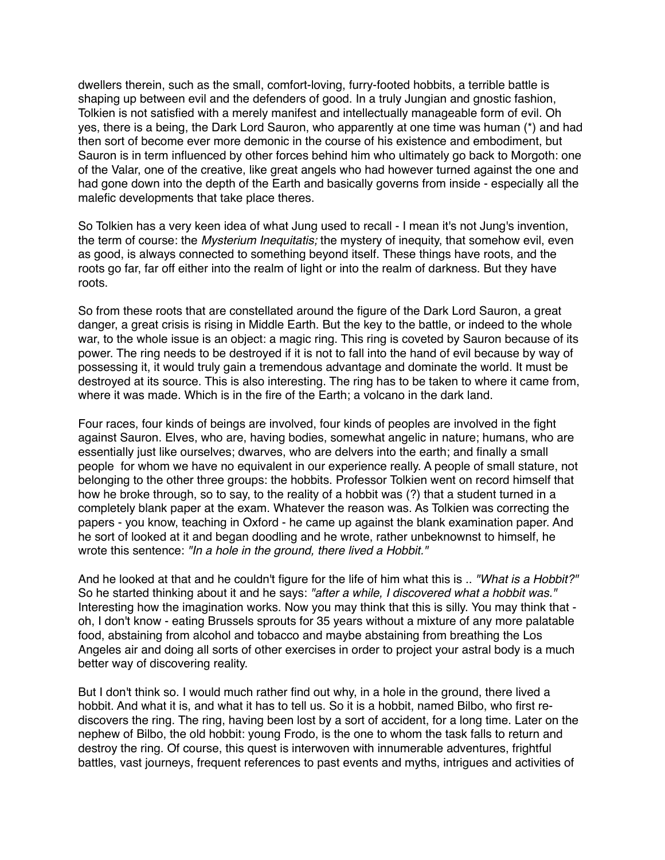dwellers therein, such as the small, comfort-loving, furry-footed hobbits, a terrible battle is shaping up between evil and the defenders of good. In a truly Jungian and gnostic fashion, Tolkien is not satisfied with a merely manifest and intellectually manageable form of evil. Oh yes, there is a being, the Dark Lord Sauron, who apparently at one time was human (\*) and had then sort of become ever more demonic in the course of his existence and embodiment, but Sauron is in term influenced by other forces behind him who ultimately go back to Morgoth: one of the Valar, one of the creative, like great angels who had however turned against the one and had gone down into the depth of the Earth and basically governs from inside - especially all the malefic developments that take place theres.

So Tolkien has a very keen idea of what Jung used to recall - I mean it's not Jung's invention, the term of course: the *Mysterium Inequitatis;* the mystery of inequity, that somehow evil, even as good, is always connected to something beyond itself. These things have roots, and the roots go far, far off either into the realm of light or into the realm of darkness. But they have roots.

So from these roots that are constellated around the figure of the Dark Lord Sauron, a great danger, a great crisis is rising in Middle Earth. But the key to the battle, or indeed to the whole war, to the whole issue is an object: a magic ring. This ring is coveted by Sauron because of its power. The ring needs to be destroyed if it is not to fall into the hand of evil because by way of possessing it, it would truly gain a tremendous advantage and dominate the world. It must be destroyed at its source. This is also interesting. The ring has to be taken to where it came from, where it was made. Which is in the fire of the Earth; a volcano in the dark land.

Four races, four kinds of beings are involved, four kinds of peoples are involved in the fight against Sauron. Elves, who are, having bodies, somewhat angelic in nature; humans, who are essentially just like ourselves; dwarves, who are delvers into the earth; and finally a small people for whom we have no equivalent in our experience really. A people of small stature, not belonging to the other three groups: the hobbits. Professor Tolkien went on record himself that how he broke through, so to say, to the reality of a hobbit was (?) that a student turned in a completely blank paper at the exam. Whatever the reason was. As Tolkien was correcting the papers - you know, teaching in Oxford - he came up against the blank examination paper. And he sort of looked at it and began doodling and he wrote, rather unbeknownst to himself, he wrote this sentence: *"In a hole in the ground, there lived a Hobbit."* 

And he looked at that and he couldn't figure for the life of him what this is .. *"What is a Hobbit?"* So he started thinking about it and he says: *"after a while, I discovered what a hobbit was."*  Interesting how the imagination works. Now you may think that this is silly. You may think that oh, I don't know - eating Brussels sprouts for 35 years without a mixture of any more palatable food, abstaining from alcohol and tobacco and maybe abstaining from breathing the Los Angeles air and doing all sorts of other exercises in order to project your astral body is a much better way of discovering reality.

But I don't think so. I would much rather find out why, in a hole in the ground, there lived a hobbit. And what it is, and what it has to tell us. So it is a hobbit, named Bilbo, who first rediscovers the ring. The ring, having been lost by a sort of accident, for a long time. Later on the nephew of Bilbo, the old hobbit: young Frodo, is the one to whom the task falls to return and destroy the ring. Of course, this quest is interwoven with innumerable adventures, frightful battles, vast journeys, frequent references to past events and myths, intrigues and activities of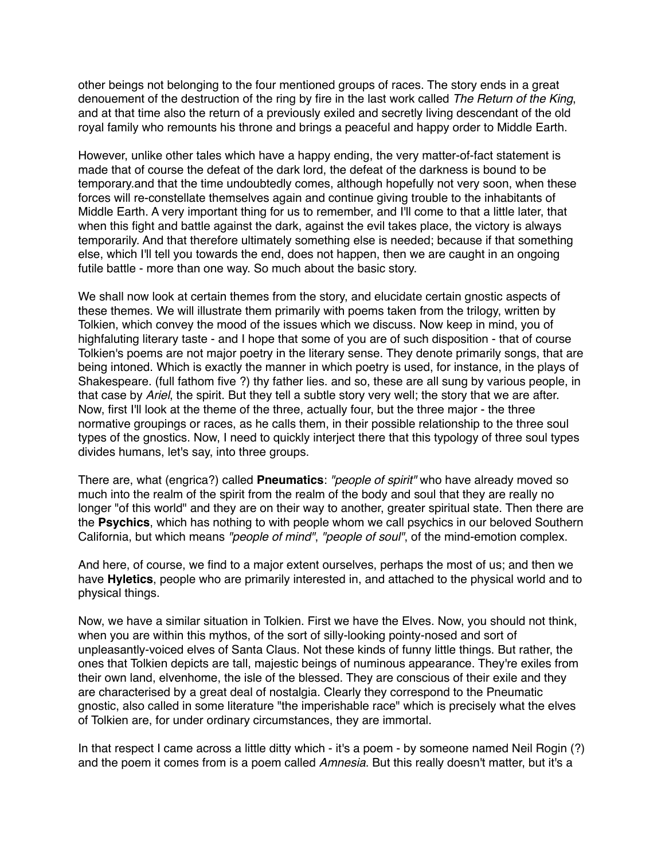other beings not belonging to the four mentioned groups of races. The story ends in a great denouement of the destruction of the ring by fire in the last work called *The Return of the King*, and at that time also the return of a previously exiled and secretly living descendant of the old royal family who remounts his throne and brings a peaceful and happy order to Middle Earth.

However, unlike other tales which have a happy ending, the very matter-of-fact statement is made that of course the defeat of the dark lord, the defeat of the darkness is bound to be temporary.and that the time undoubtedly comes, although hopefully not very soon, when these forces will re-constellate themselves again and continue giving trouble to the inhabitants of Middle Earth. A very important thing for us to remember, and I'll come to that a little later, that when this fight and battle against the dark, against the evil takes place, the victory is always temporarily. And that therefore ultimately something else is needed; because if that something else, which I'll tell you towards the end, does not happen, then we are caught in an ongoing futile battle - more than one way. So much about the basic story.

We shall now look at certain themes from the story, and elucidate certain gnostic aspects of these themes. We will illustrate them primarily with poems taken from the trilogy, written by Tolkien, which convey the mood of the issues which we discuss. Now keep in mind, you of highfaluting literary taste - and I hope that some of you are of such disposition - that of course Tolkien's poems are not major poetry in the literary sense. They denote primarily songs, that are being intoned. Which is exactly the manner in which poetry is used, for instance, in the plays of Shakespeare. (full fathom five ?) thy father lies. and so, these are all sung by various people, in that case by *Ariel*, the spirit. But they tell a subtle story very well; the story that we are after. Now, first I'll look at the theme of the three, actually four, but the three major - the three normative groupings or races, as he calls them, in their possible relationship to the three soul types of the gnostics. Now, I need to quickly interject there that this typology of three soul types divides humans, let's say, into three groups.

There are, what (engrica?) called **Pneumatics**: *"people of spirit"* who have already moved so much into the realm of the spirit from the realm of the body and soul that they are really no longer "of this world" and they are on their way to another, greater spiritual state. Then there are the **Psychics**, which has nothing to with people whom we call psychics in our beloved Southern California, but which means *"people of mind"*, *"people of soul"*, of the mind-emotion complex.

And here, of course, we find to a major extent ourselves, perhaps the most of us; and then we have **Hyletics**, people who are primarily interested in, and attached to the physical world and to physical things.

Now, we have a similar situation in Tolkien. First we have the Elves. Now, you should not think, when you are within this mythos, of the sort of silly-looking pointy-nosed and sort of unpleasantly-voiced elves of Santa Claus. Not these kinds of funny little things. But rather, the ones that Tolkien depicts are tall, majestic beings of numinous appearance. They're exiles from their own land, elvenhome, the isle of the blessed. They are conscious of their exile and they are characterised by a great deal of nostalgia. Clearly they correspond to the Pneumatic gnostic, also called in some literature "the imperishable race" which is precisely what the elves of Tolkien are, for under ordinary circumstances, they are immortal.

In that respect I came across a little ditty which - it's a poem - by someone named Neil Rogin (?) and the poem it comes from is a poem called *Amnesia*. But this really doesn't matter, but it's a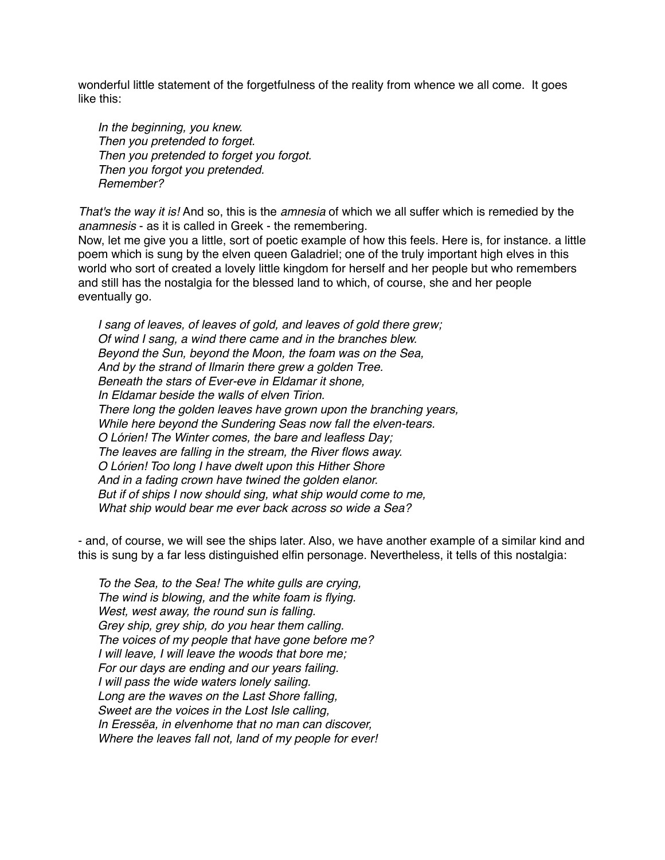wonderful little statement of the forgetfulness of the reality from whence we all come. It goes like this:

*In the beginning, you knew. Then you pretended to forget. Then you pretended to forget you forgot. Then you forgot you pretended. Remember?*

*That's the way it is!* And so, this is the *amnesia* of which we all suffer which is remedied by the *anamnesis* - as it is called in Greek - the remembering.

Now, let me give you a little, sort of poetic example of how this feels. Here is, for instance. a little poem which is sung by the elven queen Galadriel; one of the truly important high elves in this world who sort of created a lovely little kingdom for herself and her people but who remembers and still has the nostalgia for the blessed land to which, of course, she and her people eventually go.

*I sang of leaves, of leaves of gold, and leaves of gold there grew; Of wind I sang, a wind there came and in the branches blew. Beyond the Sun, beyond the Moon, the foam was on the Sea, And by the strand of Ilmarin there grew a golden Tree. Beneath the stars of Ever-eve in Eldamar it shone, In Eldamar beside the walls of elven Tirion. There long the golden leaves have grown upon the branching years, While here beyond the Sundering Seas now fall the elven-tears. O Lórien! The Winter comes, the bare and leafless Day; The leaves are falling in the stream, the River flows away. O Lórien! Too long I have dwelt upon this Hither Shore And in a fading crown have twined the golden elanor. But if of ships I now should sing, what ship would come to me, What ship would bear me ever back across so wide a Sea?*

- and, of course, we will see the ships later. Also, we have another example of a similar kind and this is sung by a far less distinguished elfin personage. Nevertheless, it tells of this nostalgia:

*To the Sea, to the Sea! The white gulls are crying, The wind is blowing, and the white foam is flying. West, west away, the round sun is falling. Grey ship, grey ship, do you hear them calling. The voices of my people that have gone before me? I will leave, I will leave the woods that bore me; For our days are ending and our years failing. I will pass the wide waters lonely sailing. Long are the waves on the Last Shore falling, Sweet are the voices in the Lost Isle calling, In Eressëa, in elvenhome that no man can discover, Where the leaves fall not, land of my people for ever!*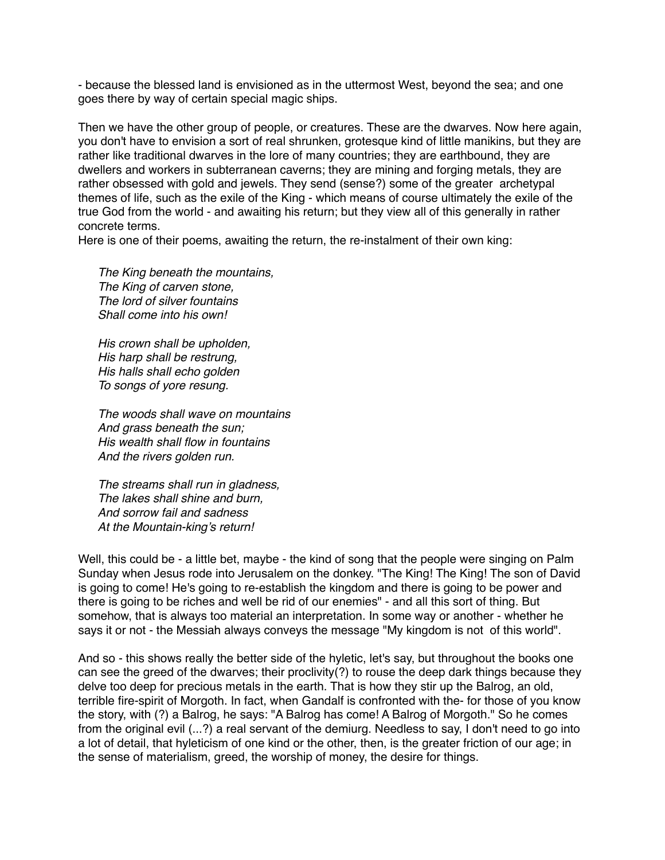- because the blessed land is envisioned as in the uttermost West, beyond the sea; and one goes there by way of certain special magic ships.

Then we have the other group of people, or creatures. These are the dwarves. Now here again, you don't have to envision a sort of real shrunken, grotesque kind of little manikins, but they are rather like traditional dwarves in the lore of many countries; they are earthbound, they are dwellers and workers in subterranean caverns; they are mining and forging metals, they are rather obsessed with gold and jewels. They send (sense?) some of the greater archetypal themes of life, such as the exile of the King - which means of course ultimately the exile of the true God from the world - and awaiting his return; but they view all of this generally in rather concrete terms.

Here is one of their poems, awaiting the return, the re-instalment of their own king:

*The King beneath the mountains, The King of carven stone, The lord of silver fountains Shall come into his own!* 

*His crown shall be upholden, His harp shall be restrung, His halls shall echo golden To songs of yore resung.* 

*The woods shall wave on mountains And grass beneath the sun; His wealth shall flow in fountains And the rivers golden run.* 

*The streams shall run in gladness, The lakes shall shine and burn, And sorrow fail and sadness At the Mountain-king's return!*

Well, this could be - a little bet, maybe - the kind of song that the people were singing on Palm Sunday when Jesus rode into Jerusalem on the donkey. "The King! The King! The son of David is going to come! He's going to re-establish the kingdom and there is going to be power and there is going to be riches and well be rid of our enemies" - and all this sort of thing. But somehow, that is always too material an interpretation. In some way or another - whether he says it or not - the Messiah always conveys the message "My kingdom is not of this world".

And so - this shows really the better side of the hyletic, let's say, but throughout the books one can see the greed of the dwarves; their proclivity(?) to rouse the deep dark things because they delve too deep for precious metals in the earth. That is how they stir up the Balrog, an old, terrible fire-spirit of Morgoth. In fact, when Gandalf is confronted with the- for those of you know the story, with (?) a Balrog, he says: "A Balrog has come! A Balrog of Morgoth." So he comes from the original evil (...?) a real servant of the demiurg. Needless to say, I don't need to go into a lot of detail, that hyleticism of one kind or the other, then, is the greater friction of our age; in the sense of materialism, greed, the worship of money, the desire for things.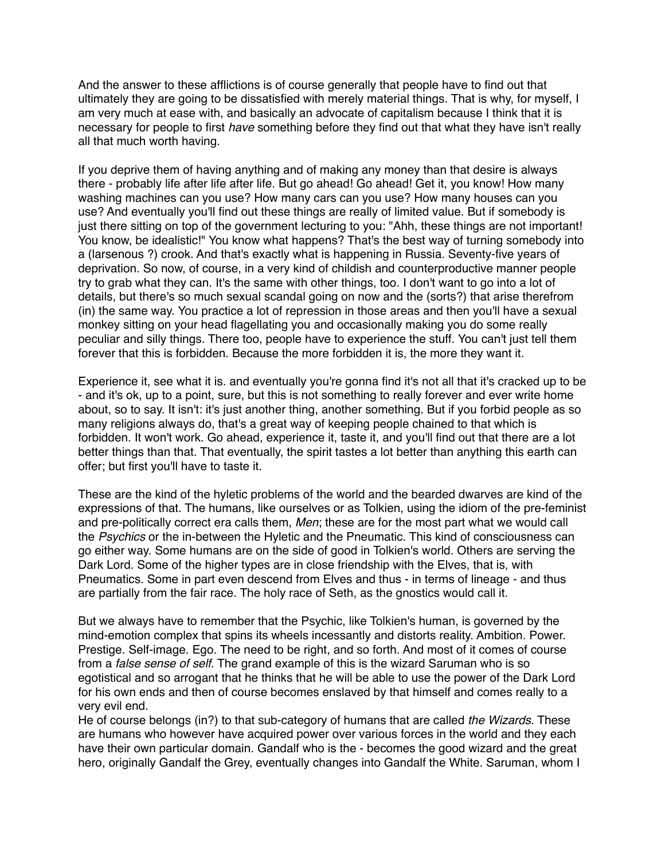And the answer to these afflictions is of course generally that people have to find out that ultimately they are going to be dissatisfied with merely material things. That is why, for myself, I am very much at ease with, and basically an advocate of capitalism because I think that it is necessary for people to first *have* something before they find out that what they have isn't really all that much worth having.

If you deprive them of having anything and of making any money than that desire is always there - probably life after life after life. But go ahead! Go ahead! Get it, you know! How many washing machines can you use? How many cars can you use? How many houses can you use? And eventually you'll find out these things are really of limited value. But if somebody is just there sitting on top of the government lecturing to you: "Ahh, these things are not important! You know, be idealistic!" You know what happens? That's the best way of turning somebody into a (larsenous ?) crook. And that's exactly what is happening in Russia. Seventy-five years of deprivation. So now, of course, in a very kind of childish and counterproductive manner people try to grab what they can. It's the same with other things, too. I don't want to go into a lot of details, but there's so much sexual scandal going on now and the (sorts?) that arise therefrom (in) the same way. You practice a lot of repression in those areas and then you'll have a sexual monkey sitting on your head flagellating you and occasionally making you do some really peculiar and silly things. There too, people have to experience the stuff. You can't just tell them forever that this is forbidden. Because the more forbidden it is, the more they want it.

Experience it, see what it is. and eventually you're gonna find it's not all that it's cracked up to be - and it's ok, up to a point, sure, but this is not something to really forever and ever write home about, so to say. It isn't: it's just another thing, another something. But if you forbid people as so many religions always do, that's a great way of keeping people chained to that which is forbidden. It won't work. Go ahead, experience it, taste it, and you'll find out that there are a lot better things than that. That eventually, the spirit tastes a lot better than anything this earth can offer; but first you'll have to taste it.

These are the kind of the hyletic problems of the world and the bearded dwarves are kind of the expressions of that. The humans, like ourselves or as Tolkien, using the idiom of the pre-feminist and pre-politically correct era calls them, *Men*; these are for the most part what we would call the *Psychics* or the in-between the Hyletic and the Pneumatic. This kind of consciousness can go either way. Some humans are on the side of good in Tolkien's world. Others are serving the Dark Lord. Some of the higher types are in close friendship with the Elves, that is, with Pneumatics. Some in part even descend from Elves and thus - in terms of lineage - and thus are partially from the fair race. The holy race of Seth, as the gnostics would call it.

But we always have to remember that the Psychic, like Tolkien's human, is governed by the mind-emotion complex that spins its wheels incessantly and distorts reality. Ambition. Power. Prestige. Self-image. Ego. The need to be right, and so forth. And most of it comes of course from a *false sense of self*. The grand example of this is the wizard Saruman who is so egotistical and so arrogant that he thinks that he will be able to use the power of the Dark Lord for his own ends and then of course becomes enslaved by that himself and comes really to a very evil end.

He of course belongs (in?) to that sub-category of humans that are called *the Wizards*. These are humans who however have acquired power over various forces in the world and they each have their own particular domain. Gandalf who is the - becomes the good wizard and the great hero, originally Gandalf the Grey, eventually changes into Gandalf the White. Saruman, whom I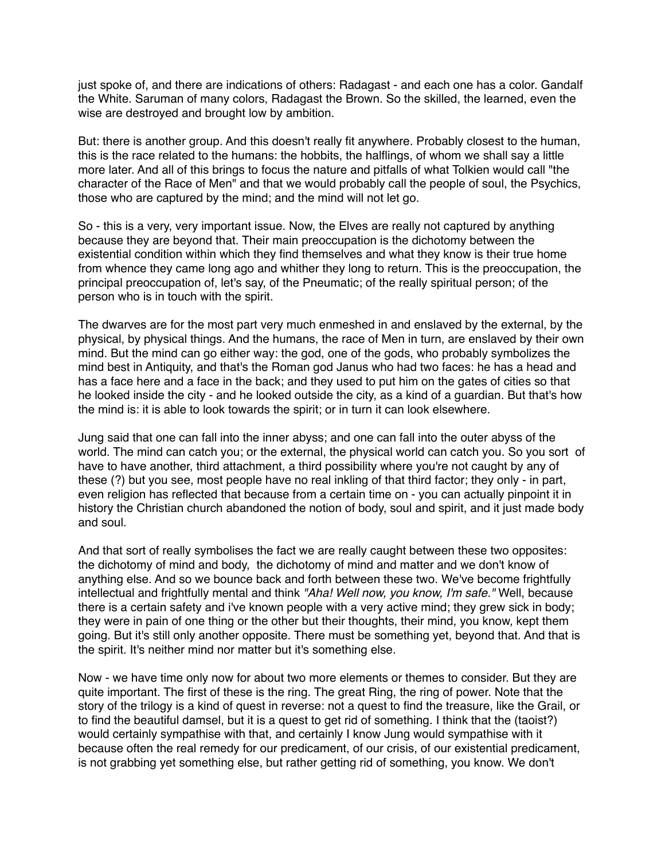just spoke of, and there are indications of others: Radagast - and each one has a color. Gandalf the White. Saruman of many colors, Radagast the Brown. So the skilled, the learned, even the wise are destroyed and brought low by ambition.

But: there is another group. And this doesn't really fit anywhere. Probably closest to the human, this is the race related to the humans: the hobbits, the halflings, of whom we shall say a little more later. And all of this brings to focus the nature and pitfalls of what Tolkien would call "the character of the Race of Men" and that we would probably call the people of soul, the Psychics, those who are captured by the mind; and the mind will not let go.

So - this is a very, very important issue. Now, the Elves are really not captured by anything because they are beyond that. Their main preoccupation is the dichotomy between the existential condition within which they find themselves and what they know is their true home from whence they came long ago and whither they long to return. This is the preoccupation, the principal preoccupation of, let's say, of the Pneumatic; of the really spiritual person; of the person who is in touch with the spirit.

The dwarves are for the most part very much enmeshed in and enslaved by the external, by the physical, by physical things. And the humans, the race of Men in turn, are enslaved by their own mind. But the mind can go either way: the god, one of the gods, who probably symbolizes the mind best in Antiquity, and that's the Roman god Janus who had two faces: he has a head and has a face here and a face in the back; and they used to put him on the gates of cities so that he looked inside the city - and he looked outside the city, as a kind of a guardian. But that's how the mind is: it is able to look towards the spirit; or in turn it can look elsewhere.

Jung said that one can fall into the inner abyss; and one can fall into the outer abyss of the world. The mind can catch you; or the external, the physical world can catch you. So you sort of have to have another, third attachment, a third possibility where you're not caught by any of these (?) but you see, most people have no real inkling of that third factor; they only - in part, even religion has reflected that because from a certain time on - you can actually pinpoint it in history the Christian church abandoned the notion of body, soul and spirit, and it just made body and soul.

And that sort of really symbolises the fact we are really caught between these two opposites: the dichotomy of mind and body, the dichotomy of mind and matter and we don't know of anything else. And so we bounce back and forth between these two. We've become frightfully intellectual and frightfully mental and think *"Aha! Well now, you know, I'm safe."* Well, because there is a certain safety and i've known people with a very active mind; they grew sick in body; they were in pain of one thing or the other but their thoughts, their mind, you know, kept them going. But it's still only another opposite. There must be something yet, beyond that. And that is the spirit. It's neither mind nor matter but it's something else.

Now - we have time only now for about two more elements or themes to consider. But they are quite important. The first of these is the ring. The great Ring, the ring of power. Note that the story of the trilogy is a kind of quest in reverse: not a quest to find the treasure, like the Grail, or to find the beautiful damsel, but it is a quest to get rid of something. I think that the (taoist?) would certainly sympathise with that, and certainly I know Jung would sympathise with it because often the real remedy for our predicament, of our crisis, of our existential predicament, is not grabbing yet something else, but rather getting rid of something, you know. We don't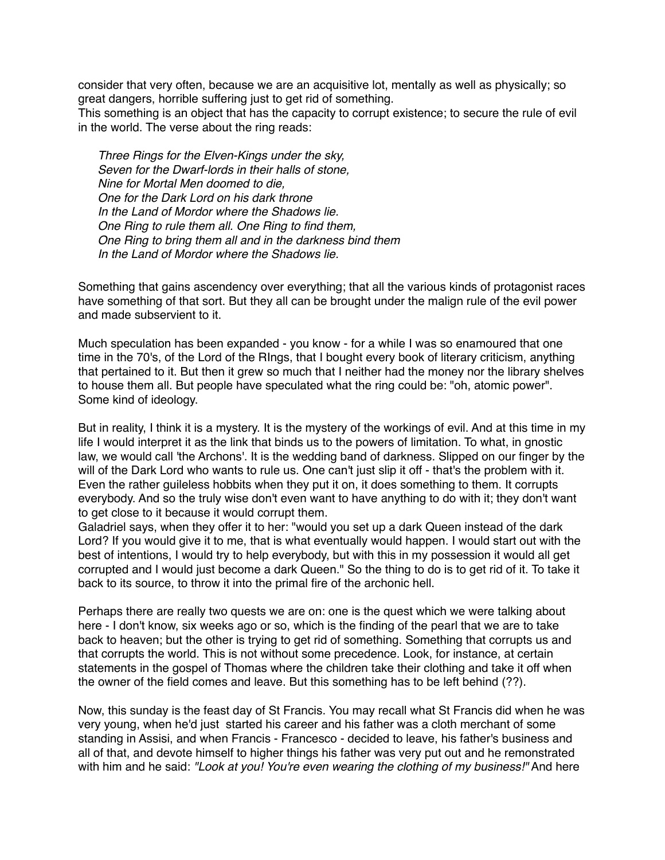consider that very often, because we are an acquisitive lot, mentally as well as physically; so great dangers, horrible suffering just to get rid of something.

This something is an object that has the capacity to corrupt existence; to secure the rule of evil in the world. The verse about the ring reads:

*Three Rings for the Elven-Kings under the sky, Seven for the Dwarf-lords in their halls of stone, Nine for Mortal Men doomed to die, One for the Dark Lord on his dark throne In the Land of Mordor where the Shadows lie. One Ring to rule them all. One Ring to find them, One Ring to bring them all and in the darkness bind them In the Land of Mordor where the Shadows lie.*

Something that gains ascendency over everything; that all the various kinds of protagonist races have something of that sort. But they all can be brought under the malign rule of the evil power and made subservient to it.

Much speculation has been expanded - you know - for a while I was so enamoured that one time in the 70's, of the Lord of the RIngs, that I bought every book of literary criticism, anything that pertained to it. But then it grew so much that I neither had the money nor the library shelves to house them all. But people have speculated what the ring could be: "oh, atomic power". Some kind of ideology.

But in reality, I think it is a mystery. It is the mystery of the workings of evil. And at this time in my life I would interpret it as the link that binds us to the powers of limitation. To what, in gnostic law, we would call 'the Archons'. It is the wedding band of darkness. Slipped on our finger by the will of the Dark Lord who wants to rule us. One can't just slip it off - that's the problem with it. Even the rather guileless hobbits when they put it on, it does something to them. It corrupts everybody. And so the truly wise don't even want to have anything to do with it; they don't want to get close to it because it would corrupt them.

Galadriel says, when they offer it to her: "would you set up a dark Queen instead of the dark Lord? If you would give it to me, that is what eventually would happen. I would start out with the best of intentions, I would try to help everybody, but with this in my possession it would all get corrupted and I would just become a dark Queen." So the thing to do is to get rid of it. To take it back to its source, to throw it into the primal fire of the archonic hell.

Perhaps there are really two quests we are on: one is the quest which we were talking about here - I don't know, six weeks ago or so, which is the finding of the pearl that we are to take back to heaven; but the other is trying to get rid of something. Something that corrupts us and that corrupts the world. This is not without some precedence. Look, for instance, at certain statements in the gospel of Thomas where the children take their clothing and take it off when the owner of the field comes and leave. But this something has to be left behind (??).

Now, this sunday is the feast day of St Francis. You may recall what St Francis did when he was very young, when he'd just started his career and his father was a cloth merchant of some standing in Assisi, and when Francis - Francesco - decided to leave, his father's business and all of that, and devote himself to higher things his father was very put out and he remonstrated with him and he said: *"Look at you! You're even wearing the clothing of my business!"* And here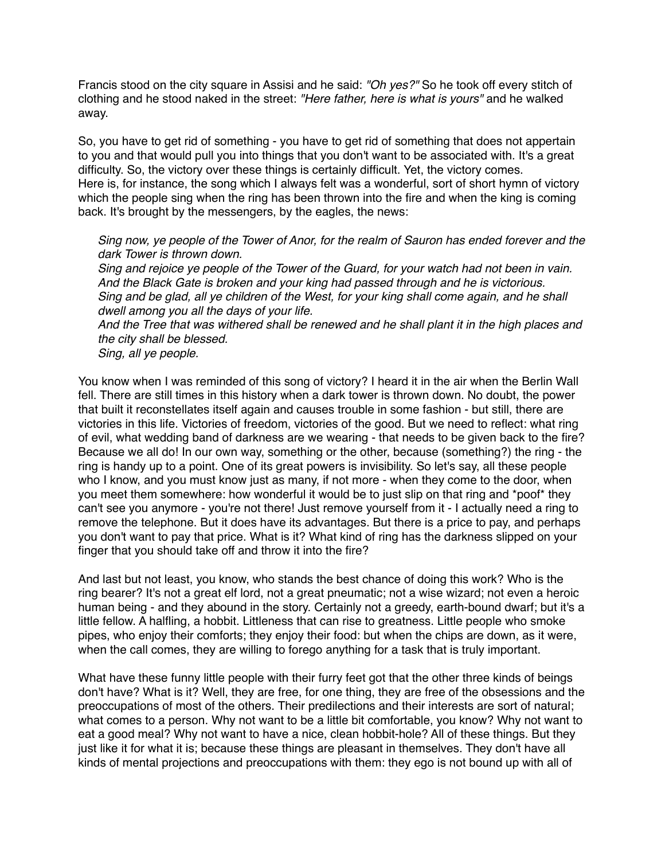Francis stood on the city square in Assisi and he said: *"Oh yes?"* So he took off every stitch of clothing and he stood naked in the street: *"Here father, here is what is yours"* and he walked away.

So, you have to get rid of something - you have to get rid of something that does not appertain to you and that would pull you into things that you don't want to be associated with. It's a great difficulty. So, the victory over these things is certainly difficult. Yet, the victory comes. Here is, for instance, the song which I always felt was a wonderful, sort of short hymn of victory which the people sing when the ring has been thrown into the fire and when the king is coming back. It's brought by the messengers, by the eagles, the news:

*Sing now, ye people of the Tower of Anor, for the realm of Sauron has ended forever and the dark Tower is thrown down.*

*Sing and rejoice ye people of the Tower of the Guard, for your watch had not been in vain. And the Black Gate is broken and your king had passed through and he is victorious. Sing and be glad, all ye children of the West, for your king shall come again, and he shall dwell among you all the days of your life.*

*And the Tree that was withered shall be renewed and he shall plant it in the high places and the city shall be blessed.*

*Sing, all ye people.* 

You know when I was reminded of this song of victory? I heard it in the air when the Berlin Wall fell. There are still times in this history when a dark tower is thrown down. No doubt, the power that built it reconstellates itself again and causes trouble in some fashion - but still, there are victories in this life. Victories of freedom, victories of the good. But we need to reflect: what ring of evil, what wedding band of darkness are we wearing - that needs to be given back to the fire? Because we all do! In our own way, something or the other, because (something?) the ring - the ring is handy up to a point. One of its great powers is invisibility. So let's say, all these people who I know, and you must know just as many, if not more - when they come to the door, when you meet them somewhere: how wonderful it would be to just slip on that ring and \*poof\* they can't see you anymore - you're not there! Just remove yourself from it - I actually need a ring to remove the telephone. But it does have its advantages. But there is a price to pay, and perhaps you don't want to pay that price. What is it? What kind of ring has the darkness slipped on your finger that you should take off and throw it into the fire?

And last but not least, you know, who stands the best chance of doing this work? Who is the ring bearer? It's not a great elf lord, not a great pneumatic; not a wise wizard; not even a heroic human being - and they abound in the story. Certainly not a greedy, earth-bound dwarf; but it's a little fellow. A halfling, a hobbit. Littleness that can rise to greatness. Little people who smoke pipes, who enjoy their comforts; they enjoy their food: but when the chips are down, as it were, when the call comes, they are willing to forego anything for a task that is truly important.

What have these funny little people with their furry feet got that the other three kinds of beings don't have? What is it? Well, they are free, for one thing, they are free of the obsessions and the preoccupations of most of the others. Their predilections and their interests are sort of natural; what comes to a person. Why not want to be a little bit comfortable, you know? Why not want to eat a good meal? Why not want to have a nice, clean hobbit-hole? All of these things. But they just like it for what it is; because these things are pleasant in themselves. They don't have all kinds of mental projections and preoccupations with them: they ego is not bound up with all of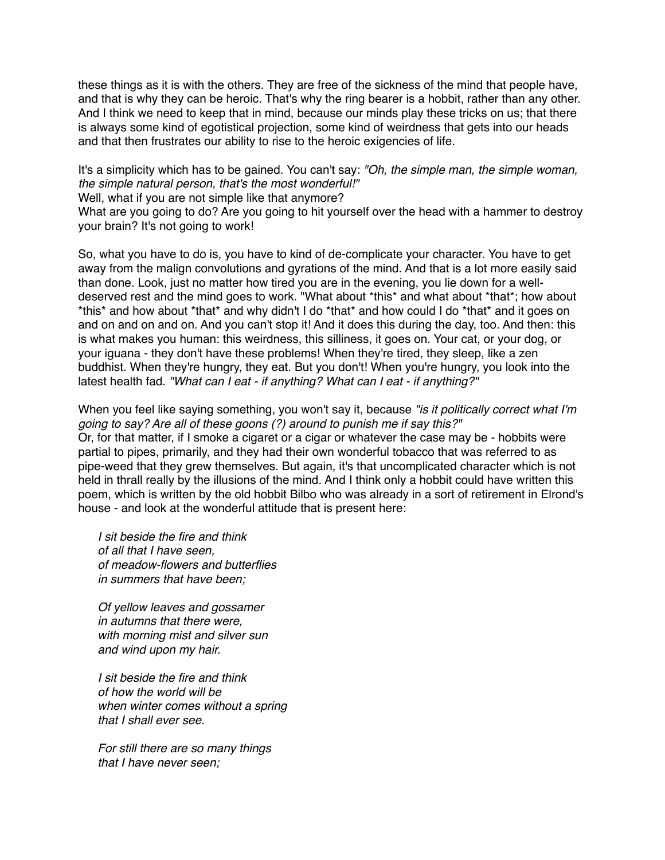these things as it is with the others. They are free of the sickness of the mind that people have, and that is why they can be heroic. That's why the ring bearer is a hobbit, rather than any other. And I think we need to keep that in mind, because our minds play these tricks on us; that there is always some kind of egotistical projection, some kind of weirdness that gets into our heads and that then frustrates our ability to rise to the heroic exigencies of life.

It's a simplicity which has to be gained. You can't say: *"Oh, the simple man, the simple woman, the simple natural person, that's the most wonderful!"*

Well, what if you are not simple like that anymore?

What are you going to do? Are you going to hit yourself over the head with a hammer to destroy your brain? It's not going to work!

So, what you have to do is, you have to kind of de-complicate your character. You have to get away from the malign convolutions and gyrations of the mind. And that is a lot more easily said than done. Look, just no matter how tired you are in the evening, you lie down for a welldeserved rest and the mind goes to work. "What about \*this\* and what about \*that\*; how about \*this\* and how about \*that\* and why didn't I do \*that\* and how could I do \*that\* and it goes on and on and on and on. And you can't stop it! And it does this during the day, too. And then: this is what makes you human: this weirdness, this silliness, it goes on. Your cat, or your dog, or your iguana - they don't have these problems! When they're tired, they sleep, like a zen buddhist. When they're hungry, they eat. But you don't! When you're hungry, you look into the latest health fad. *"What can I eat - if anything? What can I eat - if anything?"*

When you feel like saying something, you won't say it, because *"is it politically correct what I'm going to say? Are all of these goons (?) around to punish me if say this?"* Or, for that matter, if I smoke a cigaret or a cigar or whatever the case may be - hobbits were partial to pipes, primarily, and they had their own wonderful tobacco that was referred to as pipe-weed that they grew themselves. But again, it's that uncomplicated character which is not held in thrall really by the illusions of the mind. And I think only a hobbit could have written this poem, which is written by the old hobbit Bilbo who was already in a sort of retirement in Elrond's house - and look at the wonderful attitude that is present here:

*I sit beside the fire and think of all that I have seen, of meadow-flowers and butterflies in summers that have been;* 

*Of yellow leaves and gossamer in autumns that there were, with morning mist and silver sun and wind upon my hair.* 

*I sit beside the fire and think of how the world will be when winter comes without a spring that I shall ever see.* 

*For still there are so many things that I have never seen;*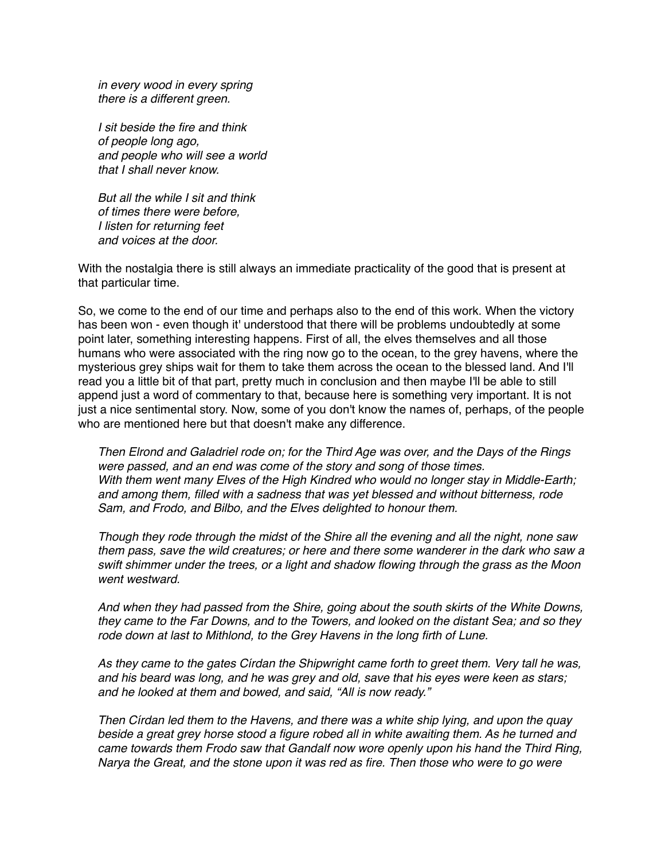*in every wood in every spring there is a different green.* 

*I sit beside the fire and think of people long ago, and people who will see a world that I shall never know.* 

*But all the while I sit and think of times there were before, I listen for returning feet and voices at the door.*

With the nostalgia there is still always an immediate practicality of the good that is present at that particular time.

So, we come to the end of our time and perhaps also to the end of this work. When the victory has been won - even though it' understood that there will be problems undoubtedly at some point later, something interesting happens. First of all, the elves themselves and all those humans who were associated with the ring now go to the ocean, to the grey havens, where the mysterious grey ships wait for them to take them across the ocean to the blessed land. And I'll read you a little bit of that part, pretty much in conclusion and then maybe I'll be able to still append just a word of commentary to that, because here is something very important. It is not just a nice sentimental story. Now, some of you don't know the names of, perhaps, of the people who are mentioned here but that doesn't make any difference.

*Then Elrond and Galadriel rode on; for the Third Age was over, and the Days of the Rings were passed, and an end was come of the story and song of those times. With them went many Elves of the High Kindred who would no longer stay in Middle-Earth; and among them, filled with a sadness that was yet blessed and without bitterness, rode Sam, and Frodo, and Bilbo, and the Elves delighted to honour them.* 

*Though they rode through the midst of the Shire all the evening and all the night, none saw them pass, save the wild creatures; or here and there some wanderer in the dark who saw a swift shimmer under the trees, or a light and shadow flowing through the grass as the Moon went westward.* 

*And when they had passed from the Shire, going about the south skirts of the White Downs, they came to the Far Downs, and to the Towers, and looked on the distant Sea; and so they rode down at last to Mithlond, to the Grey Havens in the long firth of Lune.* 

*As they came to the gates Círdan the Shipwright came forth to greet them. Very tall he was, and his beard was long, and he was grey and old, save that his eyes were keen as stars; and he looked at them and bowed, and said, "All is now ready."* 

*Then Círdan led them to the Havens, and there was a white ship lying, and upon the quay beside a great grey horse stood a figure robed all in white awaiting them. As he turned and came towards them Frodo saw that Gandalf now wore openly upon his hand the Third Ring, Narya the Great, and the stone upon it was red as fire. Then those who were to go were*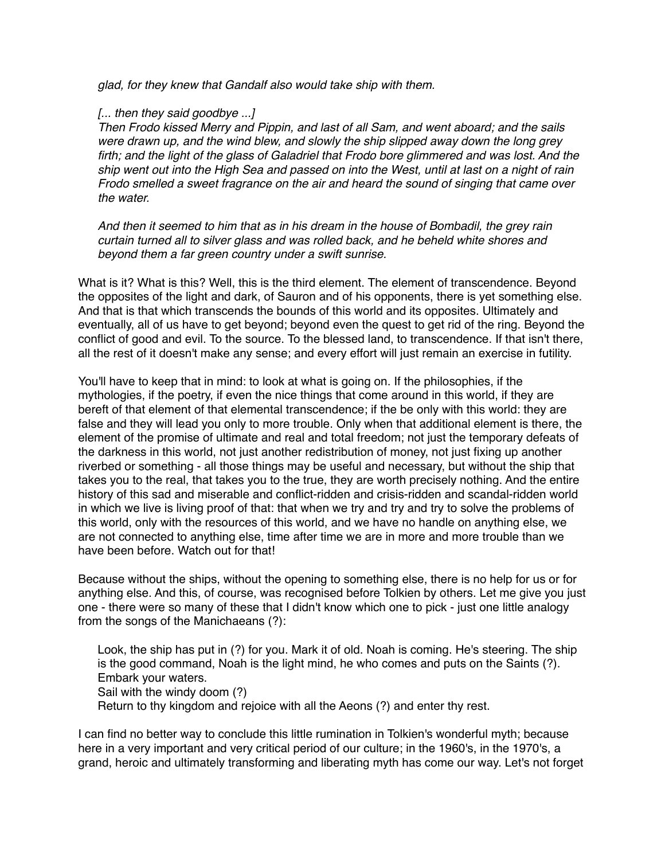*glad, for they knew that Gandalf also would take ship with them.*

## *[... then they said goodbye ...]*

*Then Frodo kissed Merry and Pippin, and last of all Sam, and went aboard; and the sails were drawn up, and the wind blew, and slowly the ship slipped away down the long grey*  firth; and the light of the glass of Galadriel that Frodo bore glimmered and was lost. And the *ship went out into the High Sea and passed on into the West, until at last on a night of rain Frodo smelled a sweet fragrance on the air and heard the sound of singing that came over the water.* 

*And then it seemed to him that as in his dream in the house of Bombadil, the grey rain curtain turned all to silver glass and was rolled back, and he beheld white shores and beyond them a far green country under a swift sunrise.*

What is it? What is this? Well, this is the third element. The element of transcendence. Beyond the opposites of the light and dark, of Sauron and of his opponents, there is yet something else. And that is that which transcends the bounds of this world and its opposites. Ultimately and eventually, all of us have to get beyond; beyond even the quest to get rid of the ring. Beyond the conflict of good and evil. To the source. To the blessed land, to transcendence. If that isn't there, all the rest of it doesn't make any sense; and every effort will just remain an exercise in futility.

You'll have to keep that in mind: to look at what is going on. If the philosophies, if the mythologies, if the poetry, if even the nice things that come around in this world, if they are bereft of that element of that elemental transcendence; if the be only with this world: they are false and they will lead you only to more trouble. Only when that additional element is there, the element of the promise of ultimate and real and total freedom; not just the temporary defeats of the darkness in this world, not just another redistribution of money, not just fixing up another riverbed or something - all those things may be useful and necessary, but without the ship that takes you to the real, that takes you to the true, they are worth precisely nothing. And the entire history of this sad and miserable and conflict-ridden and crisis-ridden and scandal-ridden world in which we live is living proof of that: that when we try and try and try to solve the problems of this world, only with the resources of this world, and we have no handle on anything else, we are not connected to anything else, time after time we are in more and more trouble than we have been before. Watch out for that!

Because without the ships, without the opening to something else, there is no help for us or for anything else. And this, of course, was recognised before Tolkien by others. Let me give you just one - there were so many of these that I didn't know which one to pick - just one little analogy from the songs of the Manichaeans (?):

Look, the ship has put in (?) for you. Mark it of old. Noah is coming. He's steering. The ship is the good command, Noah is the light mind, he who comes and puts on the Saints (?). Embark your waters. Sail with the windy doom (?)

Return to thy kingdom and rejoice with all the Aeons (?) and enter thy rest.

I can find no better way to conclude this little rumination in Tolkien's wonderful myth; because here in a very important and very critical period of our culture; in the 1960's, in the 1970's, a grand, heroic and ultimately transforming and liberating myth has come our way. Let's not forget